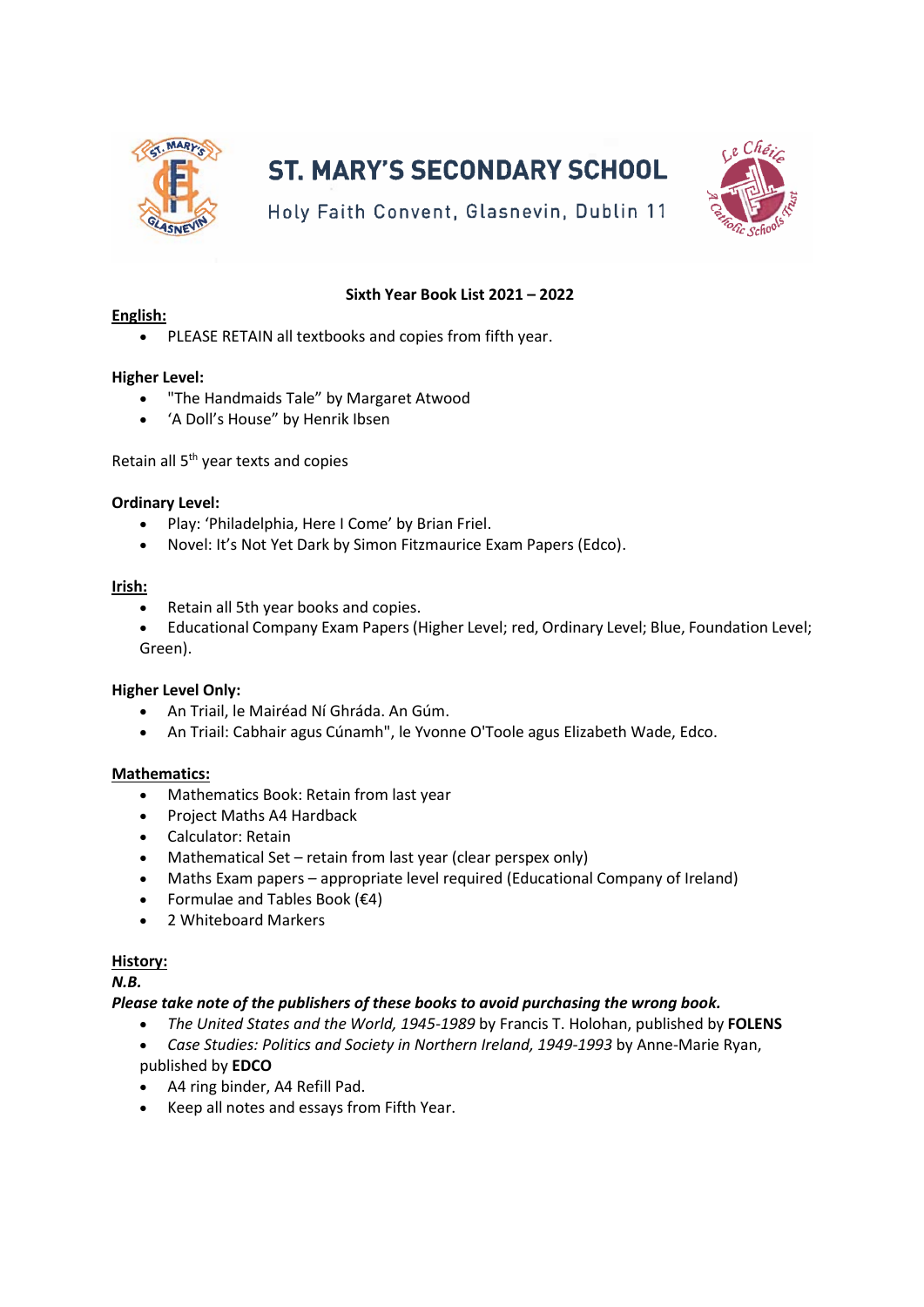

# **ST. MARY'S SECONDARY SCHOOL**



Holy Faith Convent, Glasnevin, Dublin 11

## **Sixth Year Book List 2021 – 2022**

## **English:**

PLEASE RETAIN all textbooks and copies from fifth year.

## **Higher Level:**

- "The Handmaids Tale" by Margaret Atwood
- 'A Doll's House" by Henrik Ibsen

Retain all 5<sup>th</sup> year texts and copies

#### **Ordinary Level:**

- Play: 'Philadelphia, Here I Come' by Brian Friel.
- Novel: It's Not Yet Dark by Simon Fitzmaurice Exam Papers (Edco).

#### **Irish:**

- Retain all 5th year books and copies.
- Educational Company Exam Papers (Higher Level; red, Ordinary Level; Blue, Foundation Level; Green).

#### **Higher Level Only:**

- An Triail, le Mairéad Ní Ghráda. An Gúm.
- An Triail: Cabhair agus Cúnamh", le Yvonne O'Toole agus Elizabeth Wade, Edco.

#### **Mathematics:**

- Mathematics Book: Retain from last year
- Project Maths A4 Hardback
- Calculator: Retain
- Mathematical Set retain from last year (clear perspex only)
- Maths Exam papers appropriate level required (Educational Company of Ireland)
- Formulae and Tables Book  $(€4)$
- 2 Whiteboard Markers

#### **History:**

*N.B.*

#### *Please take note of the publishers of these books to avoid purchasing the wrong book.*

- *The United States and the World, 1945-1989* by Francis T. Holohan, published by **FOLENS**
- *Case Studies: Politics and Society in Northern Ireland, 1949-1993* by Anne-Marie Ryan, published by **EDCO**
- A4 ring binder, A4 Refill Pad.
- Keep all notes and essays from Fifth Year.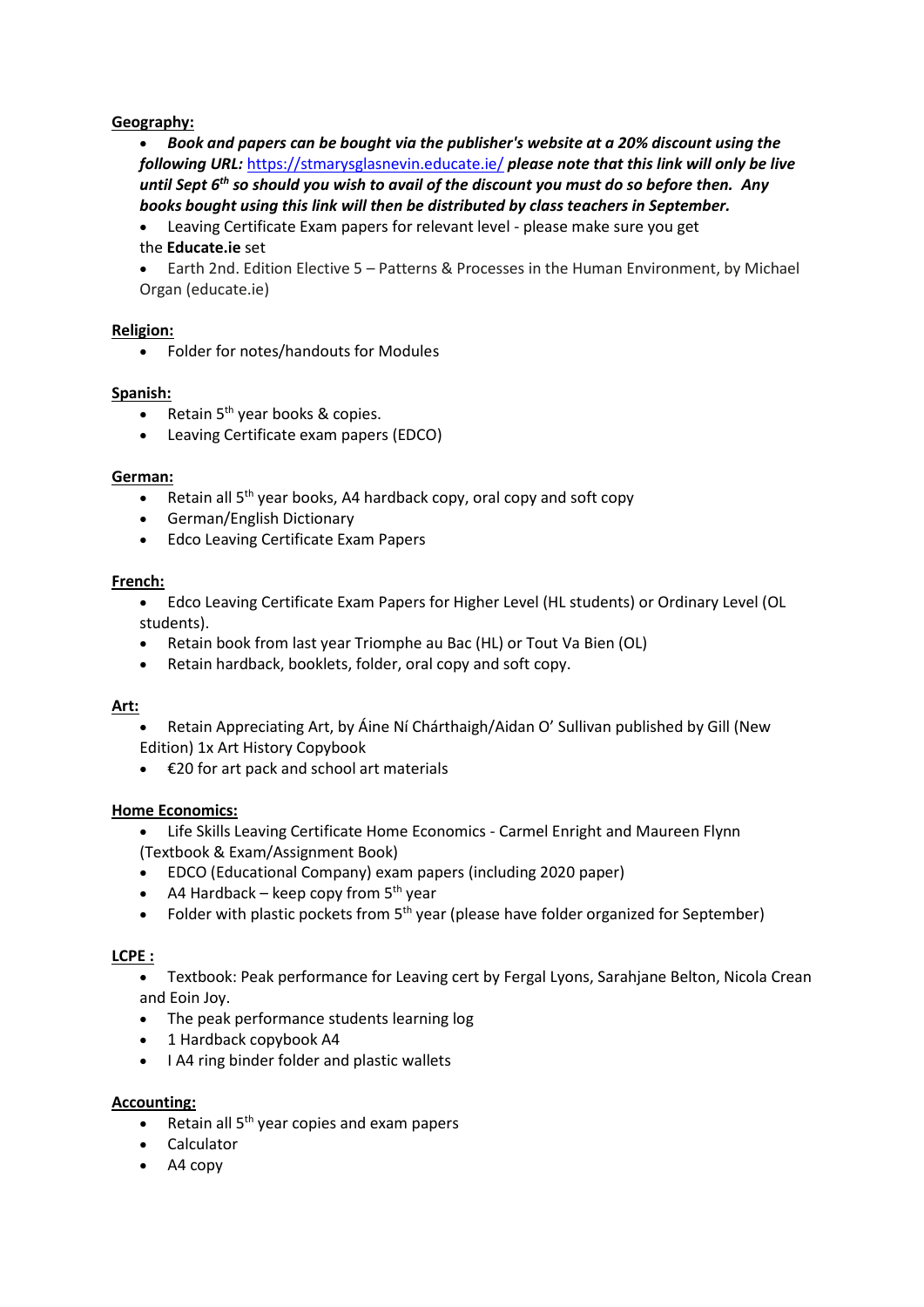## **Geography:**

 *Book and papers can be bought via the publisher's website at a 20% discount using the following URL:* [https://stmarysglasnevin.educate.ie/](https://gmlnk.com/api/v1/track/link/click/60a389d1ba46a68e7226d6e3/1621428448631/?link=https%3A%2F%2Fstmarysglasnevin.educate.ie%2F) *please note that this link will only be live*  until Sept 6<sup>th</sup> so should you wish to avail of the discount you must do so before then. Any *books bought using this link will then be distributed by class teachers in September.*

 Leaving Certificate Exam papers for relevant level - please make sure you get the **Educate.ie** set

 Earth 2nd. Edition Elective 5 – Patterns & Processes in the Human Environment, by Michael Organ (educate.ie)

#### **Religion:**

Folder for notes/handouts for Modules

## **Spanish:**

- Retain 5<sup>th</sup> year books & copies.
- Leaving Certificate exam papers (EDCO)

#### **German:**

- Retain all 5<sup>th</sup> year books, A4 hardback copy, oral copy and soft copy
- German/English Dictionary
- **•** Edco Leaving Certificate Exam Papers

#### **French:**

 Edco Leaving Certificate Exam Papers for Higher Level (HL students) or Ordinary Level (OL students).

- Retain book from last year Triomphe au Bac (HL) or Tout Va Bien (OL)
- Retain hardback, booklets, folder, oral copy and soft copy.

#### **Art:**

- Retain Appreciating Art, by Áine Ní Chárthaigh/Aidan O' Sullivan published by Gill (New Edition) 1x Art History Copybook
- €20 for art pack and school art materials

#### **Home Economics:**

- Life Skills Leaving Certificate Home Economics Carmel Enright and Maureen Flynn (Textbook & Exam/Assignment Book)
- EDCO (Educational Company) exam papers (including 2020 paper)
- A4 Hardback keep copy from 5<sup>th</sup> year
- Folder with plastic pockets from 5<sup>th</sup> year (please have folder organized for September)

#### **LCPE :**

 Textbook: Peak performance for Leaving cert by Fergal Lyons, Sarahjane Belton, Nicola Crean and Eoin Joy.

- The peak performance students learning log
- 1 Hardback copybook A4
- I A4 ring binder folder and plastic wallets

#### **Accounting:**

- Retain all 5<sup>th</sup> year copies and exam papers
- Calculator
- A4 copy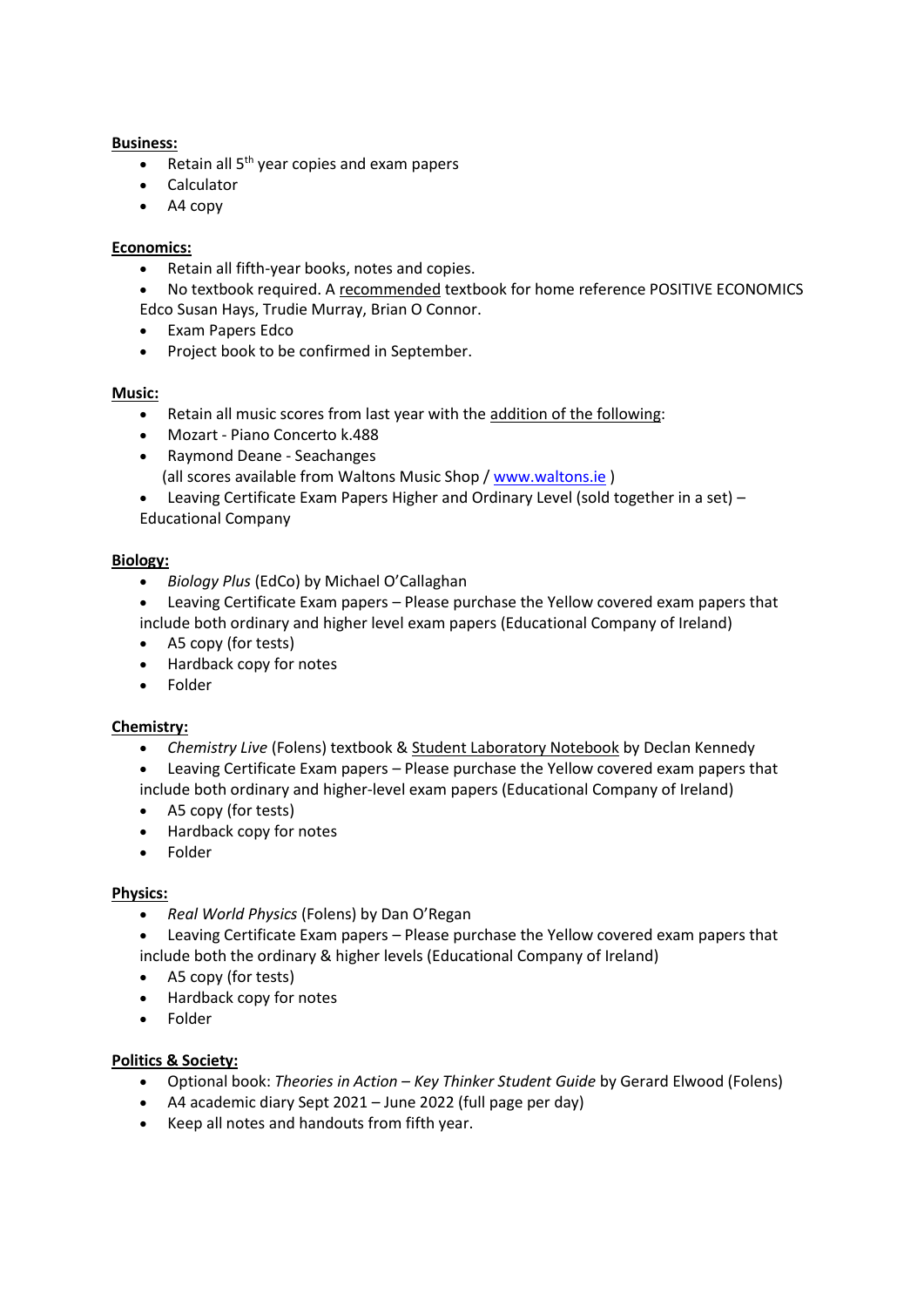## **Business:**

- Retain all 5<sup>th</sup> year copies and exam papers
- Calculator
- A4 copy

## **Economics:**

- Retain all fifth-year books, notes and copies.
- No textbook required. A recommended textbook for home reference POSITIVE ECONOMICS Edco Susan Hays, Trudie Murray, Brian O Connor.
- Exam Papers Edco
- Project book to be confirmed in September.

## **Music:**

- Retain all music scores from last year with the addition of the following:
- Mozart Piano Concerto k.488
- Raymond Deane Seachanges (all scores available from Waltons Music Shop / [www.waltons.ie](http://www.waltons.ie/) )
- Leaving Certificate Exam Papers Higher and Ordinary Level (sold together in a set) Educational Company

# **Biology:**

- *Biology Plus* (EdCo) by Michael O'Callaghan
- Leaving Certificate Exam papers Please purchase the Yellow covered exam papers that include both ordinary and higher level exam papers (Educational Company of Ireland)
- A5 copy (for tests)
- Hardback copy for notes
- Folder

# **Chemistry:**

- *Chemistry Live* (Folens) textbook & Student Laboratory Notebook by Declan Kennedy
- Leaving Certificate Exam papers Please purchase the Yellow covered exam papers that include both ordinary and higher-level exam papers (Educational Company of Ireland)
- A5 copy (for tests)
- Hardback copy for notes
- Folder

# **Physics:**

*Real World Physics* (Folens) by Dan O'Regan

 Leaving Certificate Exam papers – Please purchase the Yellow covered exam papers that include both the ordinary & higher levels (Educational Company of Ireland)

- A5 copy (for tests)
- Hardback copy for notes
- Folder

# **Politics & Society:**

- Optional book: *Theories in Action – Key Thinker Student Guide* by Gerard Elwood (Folens)
- A4 academic diary Sept 2021 June 2022 (full page per day)
- Keep all notes and handouts from fifth year.